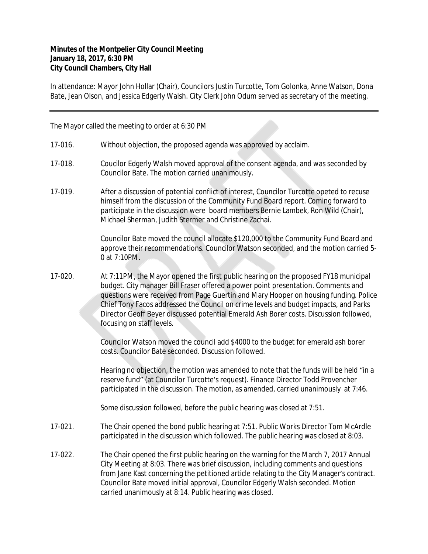## **Minutes of the Montpelier City Council Meeting January 18, 2017, 6:30 PM City Council Chambers, City Hall**

In attendance: Mayor John Hollar (Chair), Councilors Justin Turcotte, Tom Golonka, Anne Watson, Dona Bate, Jean Olson, and Jessica Edgerly Walsh. City Clerk John Odum served as secretary of the meeting.

The Mayor called the meeting to order at 6:30 PM

- 17-016. Without objection, the proposed agenda was approved by acclaim.
- 17-018. Coucilor Edgerly Walsh moved approval of the consent agenda, and was seconded by Councilor Bate. The motion carried unanimously.
- 17-019. After a discussion of potential conflict of interest, Councilor Turcotte opeted to recuse himself from the discussion of the Community Fund Board report. Coming forward to participate in the discussion were board members Bernie Lambek, Ron Wild (Chair), Michael Sherman, Judith Stermer and Christine Zachai.

Councilor Bate moved the council allocate \$120,000 to the Community Fund Board and approve their recommendations. Councilor Watson seconded, and the motion carried 5- 0 at 7:10PM.

17-020. At 7:11PM, the Mayor opened the first public hearing on the proposed FY18 municipal budget. City manager Bill Fraser offered a power point presentation. Comments and questions were received from Page Guertin and Mary Hooper on housing funding. Police Chief Tony Facos addressed the Council on crime levels and budget impacts, and Parks Director Geoff Beyer discussed potential Emerald Ash Borer costs. Discussion followed, focusing on staff levels.

> Councilor Watson moved the council add \$4000 to the budget for emerald ash borer costs. Councilor Bate seconded. Discussion followed.

Hearing no objection, the motion was amended to note that the funds will be held "in a reserve fund" (at Councilor Turcotte's request). Finance Director Todd Provencher participated in the discussion. The motion, as amended, carried unanimously at 7:46.

Some discussion followed, before the public hearing was closed at 7:51.

- 17-021. The Chair opened the bond public hearing at 7:51. Public Works Director Tom McArdle participated in the discussion which followed. The public hearing was closed at 8:03.
- 17-022. The Chair opened the first public hearing on the warning for the March 7, 2017 Annual City Meeting at 8:03. There was brief discussion, including comments and questions from Jane Kast concerning the petitioned article relating to the City Manager's contract. Councilor Bate moved initial approval, Councilor Edgerly Walsh seconded. Motion carried unanimously at 8:14. Public hearing was closed.